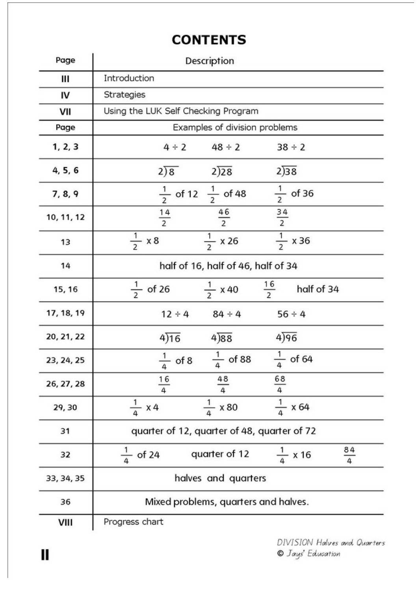## **CONTENTS**

| Page       | Description                                 |                     |                              |                |  |  |  |  |
|------------|---------------------------------------------|---------------------|------------------------------|----------------|--|--|--|--|
| Ш          | Introduction                                |                     |                              |                |  |  |  |  |
| IV         | <b>Strategies</b>                           |                     |                              |                |  |  |  |  |
| VII        | Using the LUK Self Checking Program         |                     |                              |                |  |  |  |  |
| Page       | Examples of division problems               |                     |                              |                |  |  |  |  |
| 1, 2, 3    | $4 \div 2$                                  | $48 \div 2$         | $38 \div 2$                  |                |  |  |  |  |
| 4, 5, 6    | 2)8                                         | 2)28                | 2)38                         |                |  |  |  |  |
| 7, 8, 9    | $\frac{1}{2}$ of 12 $\frac{1}{2}$ of 48     |                     | $\frac{1}{2}$ of 36          |                |  |  |  |  |
| 10, 11, 12 | $\frac{14}{2}$                              | $\frac{46}{2}$      | $\frac{34}{2}$               |                |  |  |  |  |
| 13         | $\frac{1}{2}x8$                             | $\frac{1}{2}$ x 26  | $\frac{1}{2}$ x 36           |                |  |  |  |  |
| 14         | half of 16, half of 46, half of 34          |                     |                              |                |  |  |  |  |
| 15, 16     | $\frac{1}{2}$ of 26                         | $\frac{1}{2}$ x 40  | $\frac{16}{2}$<br>half of 34 |                |  |  |  |  |
| 17, 18, 19 | $12 \div 4$                                 | $84 \div 4$         | $56 \div 4$                  |                |  |  |  |  |
| 20, 21, 22 | 4)16                                        | 4)88                | 4)96                         |                |  |  |  |  |
| 23, 24, 25 | $\frac{1}{4}$ of 8                          | $\frac{1}{4}$ of 88 | $\frac{1}{4}$ of 64          |                |  |  |  |  |
| 26, 27, 28 | 16<br>4                                     | 48<br>4             | $\frac{68}{4}$               |                |  |  |  |  |
| 29,30      | $\frac{1}{4}$ x 4                           | x 80                | $\frac{1}{4}$ x 64           |                |  |  |  |  |
| 31         | quarter of 12, quarter of 48, quarter of 72 |                     |                              |                |  |  |  |  |
| 32         | of 24                                       | quarter of 12       | x 16                         | $\frac{84}{4}$ |  |  |  |  |
| 33, 34, 35 | halves and quarters                         |                     |                              |                |  |  |  |  |
| 36         | Mixed problems, quarters and halves.        |                     |                              |                |  |  |  |  |
| VIII       | Progress chart                              |                     |                              |                |  |  |  |  |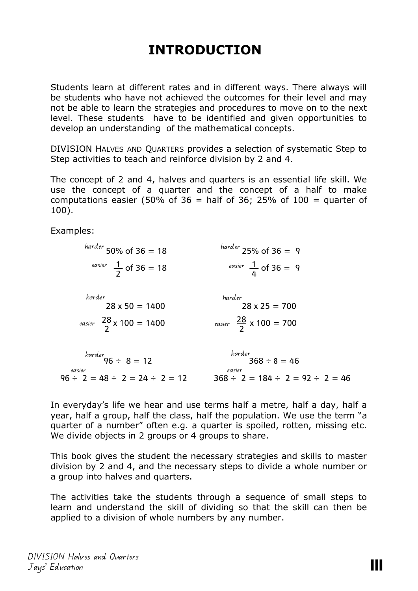## **INTRODUCTION**

Students learn at different rates and in different ways. There always will be students who have not achieved the outcomes for their level and may not be able to learn the strategies and procedures to move on to the next level. These students have to be identified and given opportunities to develop an understanding of the mathematical concepts.

DIVISION HALVES AND QUARTERS provides a selection of systematic Step to Step activities to teach and reinforce division by 2 and 4.

The concept of 2 and 4, halves and quarters is an essential life skill. We use the concept of a quarter and the concept of a half to make computations easier (50% of 36 = half of 36; 25% of 100 = quarter of 100).

Examples:

| $h$ <i>harder</i> 50% of 36 = 18                   | $h$ <i>harder</i> 25% of 36 = 9                      |
|----------------------------------------------------|------------------------------------------------------|
| easier $\frac{1}{2}$ of 36 = 18                    | easier $\frac{1}{4}$ of 36 = 9                       |
| harder                                             | harder                                               |
| $28 \times 50 = 1400$                              | $28 \times 25 = 700$                                 |
| easier $\frac{28}{2}$ x 100 = 1400                 | easier $\frac{28}{2}$ x 100 = 700                    |
|                                                    |                                                      |
| harder<br>96 $\div$ 8 = 12                         | harder<br>$368 \div 8 = 46$                          |
| easier<br>$96 \div 2 = 48 \div 2 = 24 \div 2 = 12$ | easier<br>$368 \div 2 = 184 \div 2 = 92 \div 2 = 46$ |

In everyday's life we hear and use terms half a metre, half a day, half a year, half a group, half the class, half the population. We use the term "a quarter of a number" often e.g. a quarter is spoiled, rotten, missing etc. We divide objects in 2 groups or 4 groups to share.

This book gives the student the necessary strategies and skills to master division by 2 and 4, and the necessary steps to divide a whole number or a group into halves and quarters.

The activities take the students through a sequence of small steps to learn and understand the skill of dividing so that the skill can then be applied to a division of whole numbers by any number.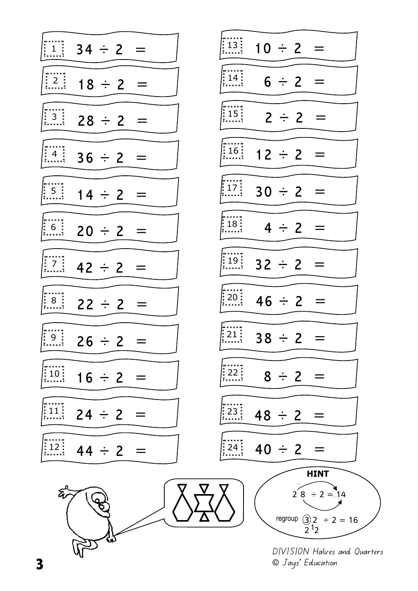

© Jays' Education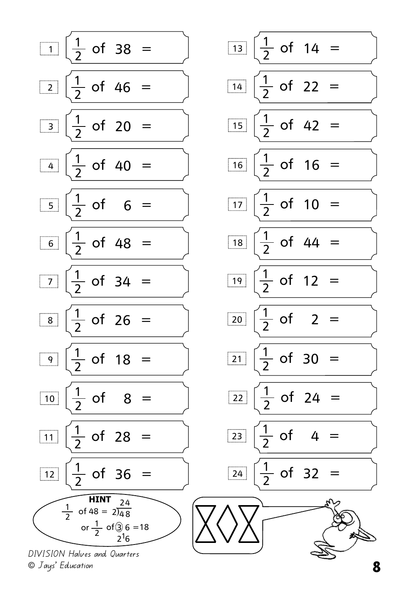

DIVISION Halves and Quarters © Jays' Education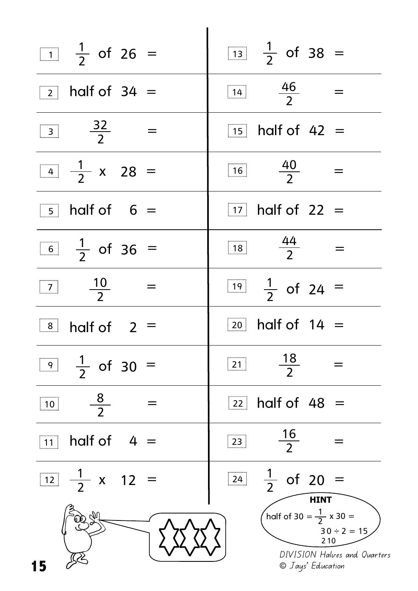|              | $\begin{array}{ c c c c }\n\hline\n1&\frac{1}{2} & \text{of} & 26 \\ \hline\n\end{array}$ |                  |  | $\frac{1}{2}$ $\frac{1}{2}$ of 38 = |                                                                                                |                |                   |                                                       |
|--------------|-------------------------------------------------------------------------------------------|------------------|--|-------------------------------------|------------------------------------------------------------------------------------------------|----------------|-------------------|-------------------------------------------------------|
|              | $\sqrt{2}$ half of 34 =                                                                   |                  |  | $\boxed{14}$ $\frac{46}{2}$         |                                                                                                |                |                   | $=$                                                   |
|              | $\begin{array}{ c c } \hline 3 & \frac{32}{2} \end{array}$                                |                  |  | $\sqrt{15}$ half of 42 =            |                                                                                                |                |                   |                                                       |
|              | $\boxed{4}$ $\frac{1}{2}$ x 28 =                                                          |                  |  | $\boxed{16}$ $\frac{40}{2}$         |                                                                                                |                |                   |                                                       |
|              | $\boxed{5}$ half of 6 =                                                                   |                  |  | $\boxed{17}$ half of 22 =           |                                                                                                |                |                   |                                                       |
|              | $\boxed{6}$ $\frac{1}{2}$ of 36 =                                                         |                  |  | $\boxed{18} \qquad \frac{44}{2}$    |                                                                                                |                |                   |                                                       |
|              | $\boxed{7}$ $\frac{10}{2}$                                                                | $\sim$ $\approx$ |  | $\frac{1}{2}$ $\frac{1}{2}$ of 24 = |                                                                                                |                |                   |                                                       |
|              | $\begin{array}{ c c c }\n\hline\n 8 & \text{half of} & 2 =\n\end{array}$                  |                  |  |                                     | $\boxed{20}$ half of 14 =                                                                      |                |                   |                                                       |
|              | $\boxed{9}$ $\frac{1}{2}$ of 30 =                                                         |                  |  | $\boxed{21}$                        |                                                                                                | $\frac{18}{2}$ |                   |                                                       |
| $\boxed{10}$ | $\frac{8}{2}$                                                                             |                  |  |                                     | $\sqrt{22}$ half of 48 =                                                                       |                |                   |                                                       |
| 11           | half of $4 =$                                                                             |                  |  | $\boxed{23}$                        |                                                                                                | $\frac{16}{2}$ |                   |                                                       |
|              | $\boxed{12}$ $\frac{1}{2}$ x 12 =                                                         |                  |  |                                     | $\begin{array}{ c c c c c }\n\hline\n\hline\n24 & \frac{1}{2} & \text{of} & 20 =\n\end{array}$ |                | <b>HINT</b>       |                                                       |
|              |                                                                                           |                  |  |                                     |                                                                                                |                | 210               | half of 30 = $\frac{1}{2}$ x 30 =<br>$30 \div 2 = 15$ |
| 15           |                                                                                           |                  |  |                                     |                                                                                                |                | © Jays' Education | DIVISION Halves and Quarters                          |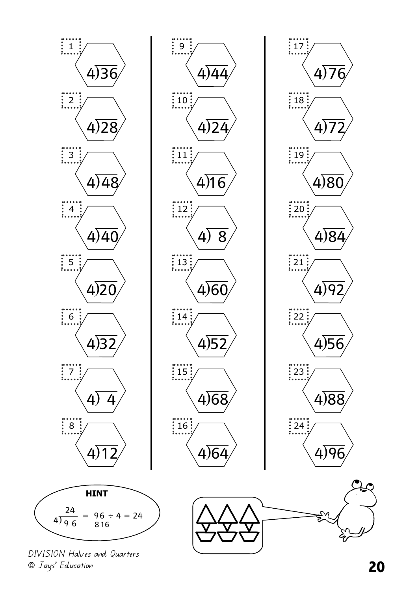

DIVISION Halves and Quarters © Jays' Education